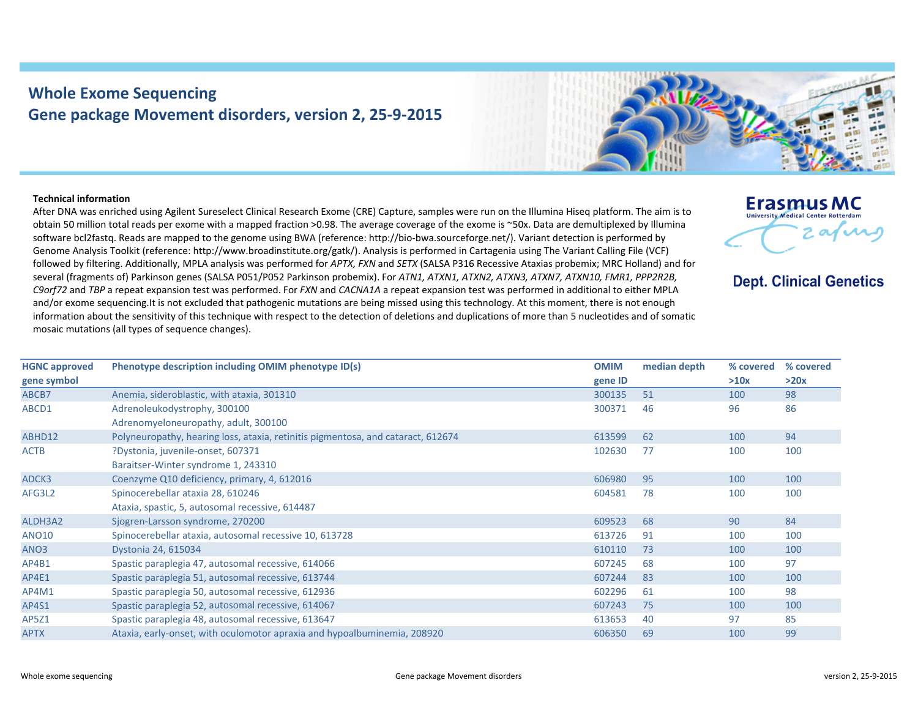## **Whole Exome Sequencing Gene package Movement disorders, version 2, 25‐9‐2015**



## **Technical information**

After DNA was enriched using Agilent Sureselect Clinical Research Exome (CRE) Capture, samples were run on the Illumina Hiseq platform. The aim is to obtain 50 million total reads per exome with <sup>a</sup> mapped fraction >0.98. The average coverage of the exome is ~50x. Data are demultiplexed by Illumina software bcl2fastq. Reads are mapped to the genome using BWA (reference: http://bio‐bwa.sourceforge.net/). Variant detection is performed by Genome Analysis Toolkit (reference: http://www.broadinstitute.org/gatk/). Analysis is performed in Cartagenia using The Variant Calling File (VCF) followed by filtering. Additionally, MPLA analysis was performed for *APTX, FXN* and *SETX* (SALSA P316 Recessive Ataxias probemix; MRC Holland) and for several (fragments of) Parkinson genes (SALSA P051/P052 Parkinson probemix). For *ATN1, ATXN1, ATXN2, ATXN3, ATXN7, ATXN10, FMR1, PPP2R2B, C9orf72* and *TBP* <sup>a</sup> repeat expansion test was performed. For *FXN* and *CACNA1A* <sup>a</sup> repeat expansion test was performed in additional to either MPLA and/or exome sequencing.It is not excluded that pathogenic mutations are being missed using this technology. At this moment, there is not enough information about the sensitivity of this technique with respect to the detection of deletions and duplications of more than 5 nucleotides and of somatic mosaic mutations (all types of sequence changes).



## **Dept. Clinical Genetics**

| <b>HGNC approved</b> | Phenotype description including OMIM phenotype ID(s)                             | <b>OMIM</b> | median depth | % covered | % covered |
|----------------------|----------------------------------------------------------------------------------|-------------|--------------|-----------|-----------|
| gene symbol          |                                                                                  | gene ID     |              | >10x      | >20x      |
| ABCB7                | Anemia, sideroblastic, with ataxia, 301310                                       | 300135      | 51           | 100       | 98        |
| ABCD1                | Adrenoleukodystrophy, 300100                                                     | 300371      | 46           | 96        | 86        |
|                      | Adrenomyeloneuropathy, adult, 300100                                             |             |              |           |           |
| ABHD12               | Polyneuropathy, hearing loss, ataxia, retinitis pigmentosa, and cataract, 612674 | 613599      | 62           | 100       | 94        |
| <b>ACTB</b>          | ?Dystonia, juvenile-onset, 607371                                                | 102630      | 77           | 100       | 100       |
|                      | Baraitser-Winter syndrome 1, 243310                                              |             |              |           |           |
| ADCK3                | Coenzyme Q10 deficiency, primary, 4, 612016                                      | 606980      | 95           | 100       | 100       |
| AFG3L2               | Spinocerebellar ataxia 28, 610246                                                | 604581      | 78           | 100       | 100       |
|                      | Ataxia, spastic, 5, autosomal recessive, 614487                                  |             |              |           |           |
| ALDH3A2              | Sjogren-Larsson syndrome, 270200                                                 | 609523      | 68           | 90        | 84        |
| <b>ANO10</b>         | Spinocerebellar ataxia, autosomal recessive 10, 613728                           | 613726      | 91           | 100       | 100       |
| ANO3                 | Dystonia 24, 615034                                                              | 610110      | 73           | 100       | 100       |
| AP4B1                | Spastic paraplegia 47, autosomal recessive, 614066                               | 607245      | 68           | 100       | 97        |
| AP4E1                | Spastic paraplegia 51, autosomal recessive, 613744                               | 607244      | 83           | 100       | 100       |
| AP4M1                | Spastic paraplegia 50, autosomal recessive, 612936                               | 602296      | 61           | 100       | 98        |
| AP4S1                | Spastic paraplegia 52, autosomal recessive, 614067                               | 607243      | 75           | 100       | 100       |
| AP5Z1                | Spastic paraplegia 48, autosomal recessive, 613647                               | 613653      | 40           | 97        | 85        |
| <b>APTX</b>          | Ataxia, early-onset, with oculomotor apraxia and hypoalbuminemia, 208920         | 606350      | 69           | 100       | 99        |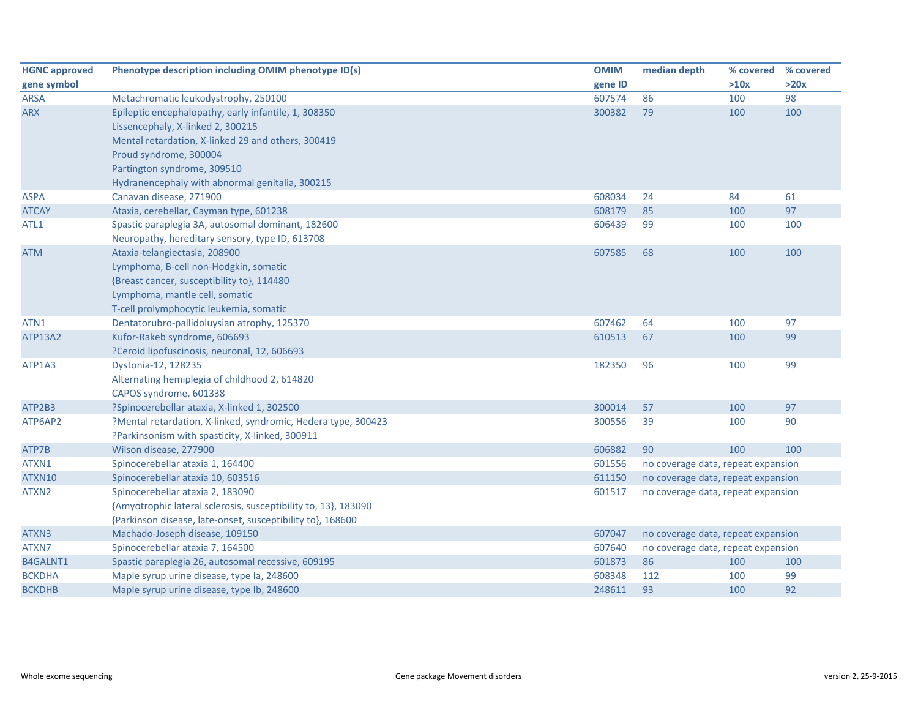| <b>HGNC approved</b> | Phenotype description including OMIM phenotype ID(s)           | <b>OMIM</b> | median depth                       | % covered | % covered |
|----------------------|----------------------------------------------------------------|-------------|------------------------------------|-----------|-----------|
| gene symbol          |                                                                | gene ID     |                                    | >10x      | >20x      |
| <b>ARSA</b>          | Metachromatic leukodystrophy, 250100                           | 607574      | 86                                 | 100       | 98        |
| <b>ARX</b>           | Epileptic encephalopathy, early infantile, 1, 308350           | 300382      | 79                                 | 100       | 100       |
|                      | Lissencephaly, X-linked 2, 300215                              |             |                                    |           |           |
|                      | Mental retardation, X-linked 29 and others, 300419             |             |                                    |           |           |
|                      | Proud syndrome, 300004                                         |             |                                    |           |           |
|                      | Partington syndrome, 309510                                    |             |                                    |           |           |
|                      | Hydranencephaly with abnormal genitalia, 300215                |             |                                    |           |           |
| <b>ASPA</b>          | Canavan disease, 271900                                        | 608034      | 24                                 | 84        | 61        |
| <b>ATCAY</b>         | Ataxia, cerebellar, Cayman type, 601238                        | 608179      | 85                                 | 100       | 97        |
| ATL1                 | Spastic paraplegia 3A, autosomal dominant, 182600              | 606439      | 99                                 | 100       | 100       |
|                      | Neuropathy, hereditary sensory, type ID, 613708                |             |                                    |           |           |
| <b>ATM</b>           | Ataxia-telangiectasia, 208900                                  | 607585      | 68                                 | 100       | 100       |
|                      | Lymphoma, B-cell non-Hodgkin, somatic                          |             |                                    |           |           |
|                      | {Breast cancer, susceptibility to}, 114480                     |             |                                    |           |           |
|                      | Lymphoma, mantle cell, somatic                                 |             |                                    |           |           |
|                      | T-cell prolymphocytic leukemia, somatic                        |             |                                    |           |           |
| ATN1                 | Dentatorubro-pallidoluysian atrophy, 125370                    | 607462      | 64                                 | 100       | 97        |
| <b>ATP13A2</b>       | Kufor-Rakeb syndrome, 606693                                   | 610513      | 67                                 | 100       | 99        |
|                      | ?Ceroid lipofuscinosis, neuronal, 12, 606693                   |             |                                    |           |           |
| ATP1A3               | Dystonia-12, 128235                                            | 182350      | 96                                 | 100       | 99        |
|                      | Alternating hemiplegia of childhood 2, 614820                  |             |                                    |           |           |
|                      | CAPOS syndrome, 601338                                         |             |                                    |           |           |
| ATP2B3               | ?Spinocerebellar ataxia, X-linked 1, 302500                    | 300014      | 57                                 | 100       | 97        |
| ATP6AP2              | ?Mental retardation, X-linked, syndromic, Hedera type, 300423  | 300556      | 39                                 | 100       | 90        |
|                      | ?Parkinsonism with spasticity, X-linked, 300911                |             |                                    |           |           |
| ATP7B                | Wilson disease, 277900                                         | 606882      | 90                                 | 100       | 100       |
| ATXN1                | Spinocerebellar ataxia 1, 164400                               | 601556      | no coverage data, repeat expansion |           |           |
| ATXN10               | Spinocerebellar ataxia 10, 603516                              | 611150      | no coverage data, repeat expansion |           |           |
| ATXN2                | Spinocerebellar ataxia 2, 183090                               | 601517      | no coverage data, repeat expansion |           |           |
|                      | {Amyotrophic lateral sclerosis, susceptibility to, 13}, 183090 |             |                                    |           |           |
|                      | {Parkinson disease, late-onset, susceptibility to}, 168600     |             |                                    |           |           |
| ATXN3                | Machado-Joseph disease, 109150                                 | 607047      | no coverage data, repeat expansion |           |           |
| ATXN7                | Spinocerebellar ataxia 7, 164500                               | 607640      | no coverage data, repeat expansion |           |           |
| B4GALNT1             | Spastic paraplegia 26, autosomal recessive, 609195             | 601873      | 86                                 | 100       | 100       |
| <b>BCKDHA</b>        | Maple syrup urine disease, type Ia, 248600                     | 608348      | 112                                | 100       | 99        |
| <b>BCKDHB</b>        | Maple syrup urine disease, type Ib, 248600                     | 248611      | 93                                 | 100       | 92        |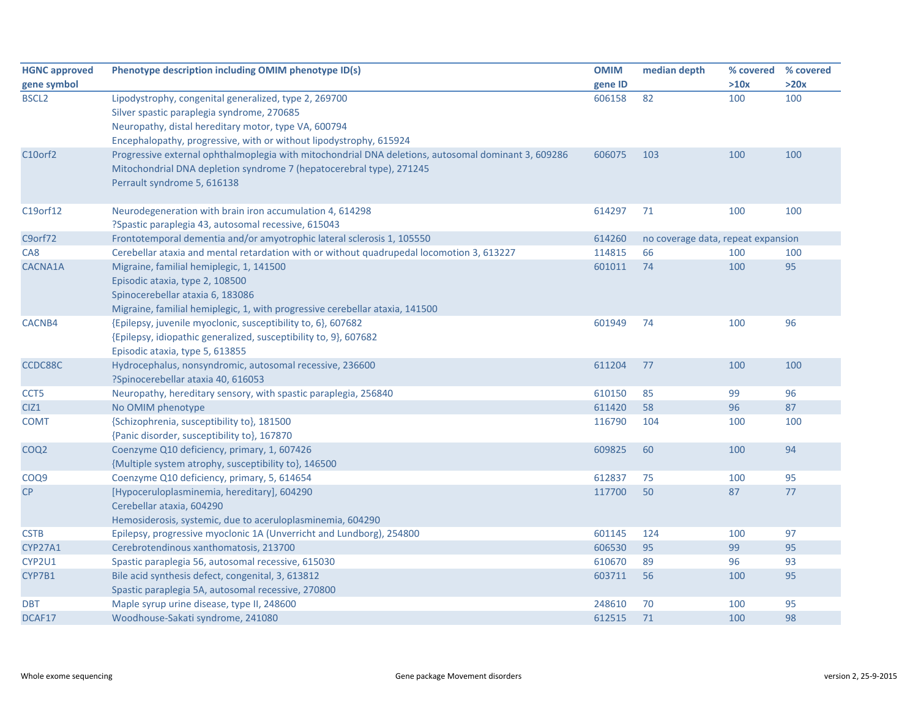| <b>HGNC approved</b> | Phenotype description including OMIM phenotype ID(s)                                                | <b>OMIM</b> | median depth                       | % covered | % covered |
|----------------------|-----------------------------------------------------------------------------------------------------|-------------|------------------------------------|-----------|-----------|
| gene symbol          |                                                                                                     | gene ID     |                                    | >10x      | >20x      |
| <b>BSCL2</b>         | Lipodystrophy, congenital generalized, type 2, 269700                                               | 606158      | 82                                 | 100       | 100       |
|                      | Silver spastic paraplegia syndrome, 270685                                                          |             |                                    |           |           |
|                      | Neuropathy, distal hereditary motor, type VA, 600794                                                |             |                                    |           |           |
|                      | Encephalopathy, progressive, with or without lipodystrophy, 615924                                  |             |                                    |           |           |
| C10orf2              | Progressive external ophthalmoplegia with mitochondrial DNA deletions, autosomal dominant 3, 609286 | 606075      | 103                                | 100       | 100       |
|                      | Mitochondrial DNA depletion syndrome 7 (hepatocerebral type), 271245                                |             |                                    |           |           |
|                      | Perrault syndrome 5, 616138                                                                         |             |                                    |           |           |
|                      |                                                                                                     |             |                                    |           |           |
| C19orf12             | Neurodegeneration with brain iron accumulation 4, 614298                                            | 614297      | 71                                 | 100       | 100       |
|                      | ?Spastic paraplegia 43, autosomal recessive, 615043                                                 |             |                                    |           |           |
| C9orf72              | Frontotemporal dementia and/or amyotrophic lateral sclerosis 1, 105550                              | 614260      | no coverage data, repeat expansion |           |           |
| CA8                  | Cerebellar ataxia and mental retardation with or without quadrupedal locomotion 3, 613227           | 114815      | 66                                 | 100       | 100       |
| CACNA1A              | Migraine, familial hemiplegic, 1, 141500                                                            | 601011      | 74                                 | 100       | 95        |
|                      | Episodic ataxia, type 2, 108500                                                                     |             |                                    |           |           |
|                      | Spinocerebellar ataxia 6, 183086                                                                    |             |                                    |           |           |
|                      | Migraine, familial hemiplegic, 1, with progressive cerebellar ataxia, 141500                        |             |                                    |           |           |
| CACNB4               | {Epilepsy, juvenile myoclonic, susceptibility to, 6}, 607682                                        | 601949      | 74                                 | 100       | 96        |
|                      | {Epilepsy, idiopathic generalized, susceptibility to, 9}, 607682                                    |             |                                    |           |           |
|                      | Episodic ataxia, type 5, 613855                                                                     |             |                                    |           |           |
| CCDC88C              | Hydrocephalus, nonsyndromic, autosomal recessive, 236600                                            | 611204      | 77                                 | 100       | 100       |
|                      | ?Spinocerebellar ataxia 40, 616053                                                                  |             |                                    |           |           |
| CCT <sub>5</sub>     | Neuropathy, hereditary sensory, with spastic paraplegia, 256840                                     | 610150      | 85                                 | 99        | 96        |
| CIZ1                 | No OMIM phenotype                                                                                   | 611420      | 58                                 | 96        | 87        |
| <b>COMT</b>          | {Schizophrenia, susceptibility to}, 181500                                                          | 116790      | 104                                | 100       | 100       |
|                      | {Panic disorder, susceptibility to}, 167870                                                         |             |                                    |           |           |
| COQ <sub>2</sub>     | Coenzyme Q10 deficiency, primary, 1, 607426                                                         | 609825      | 60                                 | 100       | 94        |
|                      | {Multiple system atrophy, susceptibility to}, 146500                                                |             |                                    |           |           |
| COQ9                 | Coenzyme Q10 deficiency, primary, 5, 614654                                                         | 612837      | 75                                 | 100       | 95        |
| CP                   | [Hypoceruloplasminemia, hereditary], 604290                                                         | 117700      | 50                                 | 87        | 77        |
|                      | Cerebellar ataxia, 604290                                                                           |             |                                    |           |           |
|                      | Hemosiderosis, systemic, due to aceruloplasminemia, 604290                                          |             |                                    |           |           |
| <b>CSTB</b>          | Epilepsy, progressive myoclonic 1A (Unverricht and Lundborg), 254800                                | 601145      | 124                                | 100       | 97        |
| CYP27A1              | Cerebrotendinous xanthomatosis, 213700                                                              | 606530      | 95                                 | 99        | 95        |
| CYP2U1               | Spastic paraplegia 56, autosomal recessive, 615030                                                  | 610670      | 89                                 | 96        | 93        |
| CYP7B1               | Bile acid synthesis defect, congenital, 3, 613812                                                   | 603711      | 56                                 | 100       | 95        |
|                      | Spastic paraplegia 5A, autosomal recessive, 270800                                                  |             |                                    |           |           |
| <b>DBT</b>           | Maple syrup urine disease, type II, 248600                                                          | 248610      | 70                                 | 100       | 95        |
| DCAF17               | Woodhouse-Sakati syndrome, 241080                                                                   | 612515      | 71                                 | 100       | 98        |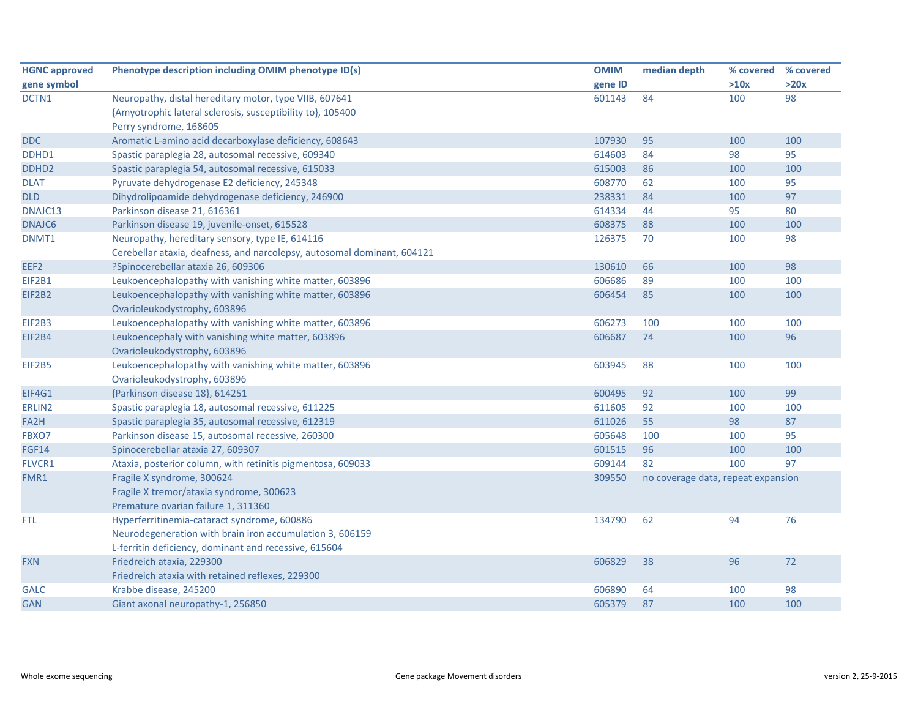| <b>HGNC approved</b> | Phenotype description including OMIM phenotype ID(s)                    | <b>OMIM</b> | median depth                       | % covered | % covered |
|----------------------|-------------------------------------------------------------------------|-------------|------------------------------------|-----------|-----------|
| gene symbol          |                                                                         | gene ID     |                                    | >10x      | >20x      |
| DCTN1                | Neuropathy, distal hereditary motor, type VIIB, 607641                  | 601143      | 84                                 | 100       | 98        |
|                      | {Amyotrophic lateral sclerosis, susceptibility to}, 105400              |             |                                    |           |           |
|                      | Perry syndrome, 168605                                                  |             |                                    |           |           |
| <b>DDC</b>           | Aromatic L-amino acid decarboxylase deficiency, 608643                  | 107930      | 95                                 | 100       | 100       |
| DDHD1                | Spastic paraplegia 28, autosomal recessive, 609340                      | 614603      | 84                                 | 98        | 95        |
| DDHD <sub>2</sub>    | Spastic paraplegia 54, autosomal recessive, 615033                      | 615003      | 86                                 | 100       | 100       |
| <b>DLAT</b>          | Pyruvate dehydrogenase E2 deficiency, 245348                            | 608770      | 62                                 | 100       | 95        |
| <b>DLD</b>           | Dihydrolipoamide dehydrogenase deficiency, 246900                       | 238331      | 84                                 | 100       | 97        |
| DNAJC13              | Parkinson disease 21, 616361                                            | 614334      | 44                                 | 95        | 80        |
| DNAJC6               | Parkinson disease 19, juvenile-onset, 615528                            | 608375      | 88                                 | 100       | 100       |
| DNMT1                | Neuropathy, hereditary sensory, type IE, 614116                         | 126375      | 70                                 | 100       | 98        |
|                      | Cerebellar ataxia, deafness, and narcolepsy, autosomal dominant, 604121 |             |                                    |           |           |
| EEF2                 | ?Spinocerebellar ataxia 26, 609306                                      | 130610      | 66                                 | 100       | 98        |
| EIF2B1               | Leukoencephalopathy with vanishing white matter, 603896                 | 606686      | 89                                 | 100       | 100       |
| <b>EIF2B2</b>        | Leukoencephalopathy with vanishing white matter, 603896                 | 606454      | 85                                 | 100       | 100       |
|                      | Ovarioleukodystrophy, 603896                                            |             |                                    |           |           |
| EIF2B3               | Leukoencephalopathy with vanishing white matter, 603896                 | 606273      | 100                                | 100       | 100       |
| EIF2B4               | Leukoencephaly with vanishing white matter, 603896                      | 606687      | 74                                 | 100       | 96        |
|                      | Ovarioleukodystrophy, 603896                                            |             |                                    |           |           |
| EIF2B5               | Leukoencephalopathy with vanishing white matter, 603896                 | 603945      | 88                                 | 100       | 100       |
|                      | Ovarioleukodystrophy, 603896                                            |             |                                    |           |           |
| EIF4G1               | {Parkinson disease 18}, 614251                                          | 600495      | 92                                 | 100       | 99        |
| ERLIN2               | Spastic paraplegia 18, autosomal recessive, 611225                      | 611605      | 92                                 | 100       | 100       |
| FA2H                 | Spastic paraplegia 35, autosomal recessive, 612319                      | 611026      | 55                                 | 98        | 87        |
| FBXO7                | Parkinson disease 15, autosomal recessive, 260300                       | 605648      | 100                                | 100       | 95        |
| <b>FGF14</b>         | Spinocerebellar ataxia 27, 609307                                       | 601515      | 96                                 | 100       | 100       |
| FLVCR1               | Ataxia, posterior column, with retinitis pigmentosa, 609033             | 609144      | 82                                 | 100       | 97        |
| FMR1                 | Fragile X syndrome, 300624                                              | 309550      | no coverage data, repeat expansion |           |           |
|                      | Fragile X tremor/ataxia syndrome, 300623                                |             |                                    |           |           |
|                      | Premature ovarian failure 1, 311360                                     |             |                                    |           |           |
| FTL                  | Hyperferritinemia-cataract syndrome, 600886                             | 134790      | 62                                 | 94        | 76        |
|                      | Neurodegeneration with brain iron accumulation 3, 606159                |             |                                    |           |           |
|                      | L-ferritin deficiency, dominant and recessive, 615604                   |             |                                    |           |           |
| <b>FXN</b>           | Friedreich ataxia, 229300                                               | 606829      | 38                                 | 96        | 72        |
|                      | Friedreich ataxia with retained reflexes, 229300                        |             |                                    |           |           |
| <b>GALC</b>          | Krabbe disease, 245200                                                  | 606890      | 64                                 | 100       | 98        |
| <b>GAN</b>           | Giant axonal neuropathy-1, 256850                                       | 605379      | 87                                 | 100       | 100       |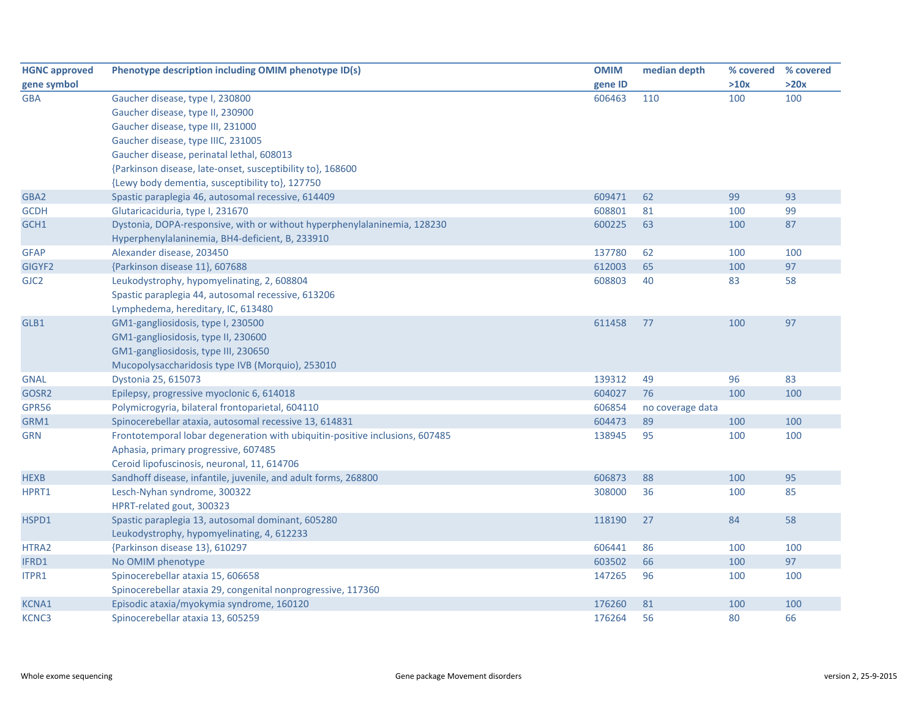| <b>HGNC approved</b> | Phenotype description including OMIM phenotype ID(s)                         | <b>OMIM</b> | median depth     | % covered % covered |      |
|----------------------|------------------------------------------------------------------------------|-------------|------------------|---------------------|------|
| gene symbol          |                                                                              | gene ID     |                  | >10x                | >20x |
| <b>GBA</b>           | Gaucher disease, type I, 230800                                              | 606463      | 110              | 100                 | 100  |
|                      | Gaucher disease, type II, 230900                                             |             |                  |                     |      |
|                      | Gaucher disease, type III, 231000                                            |             |                  |                     |      |
|                      | Gaucher disease, type IIIC, 231005                                           |             |                  |                     |      |
|                      | Gaucher disease, perinatal lethal, 608013                                    |             |                  |                     |      |
|                      | {Parkinson disease, late-onset, susceptibility to}, 168600                   |             |                  |                     |      |
|                      | {Lewy body dementia, susceptibility to}, 127750                              |             |                  |                     |      |
| GBA2                 | Spastic paraplegia 46, autosomal recessive, 614409                           | 609471      | 62               | 99                  | 93   |
| <b>GCDH</b>          | Glutaricaciduria, type I, 231670                                             | 608801      | 81               | 100                 | 99   |
| GCH1                 | Dystonia, DOPA-responsive, with or without hyperphenylalaninemia, 128230     | 600225      | 63               | 100                 | 87   |
|                      | Hyperphenylalaninemia, BH4-deficient, B, 233910                              |             |                  |                     |      |
| <b>GFAP</b>          | Alexander disease, 203450                                                    | 137780      | 62               | 100                 | 100  |
| GIGYF2               | {Parkinson disease 11}, 607688                                               | 612003      | 65               | 100                 | 97   |
| GJC <sub>2</sub>     | Leukodystrophy, hypomyelinating, 2, 608804                                   | 608803      | 40               | 83                  | 58   |
|                      | Spastic paraplegia 44, autosomal recessive, 613206                           |             |                  |                     |      |
|                      | Lymphedema, hereditary, IC, 613480                                           |             |                  |                     |      |
| GLB1                 | GM1-gangliosidosis, type I, 230500                                           | 611458      | 77               | 100                 | 97   |
|                      | GM1-gangliosidosis, type II, 230600                                          |             |                  |                     |      |
|                      | GM1-gangliosidosis, type III, 230650                                         |             |                  |                     |      |
|                      | Mucopolysaccharidosis type IVB (Morquio), 253010                             |             |                  |                     |      |
| <b>GNAL</b>          | Dystonia 25, 615073                                                          | 139312      | 49               | 96                  | 83   |
| GOSR2                | Epilepsy, progressive myoclonic 6, 614018                                    | 604027      | 76               | 100                 | 100  |
| <b>GPR56</b>         | Polymicrogyria, bilateral frontoparietal, 604110                             | 606854      | no coverage data |                     |      |
| GRM1                 | Spinocerebellar ataxia, autosomal recessive 13, 614831                       | 604473      | 89               | 100                 | 100  |
| <b>GRN</b>           | Frontotemporal lobar degeneration with ubiquitin-positive inclusions, 607485 | 138945      | 95               | 100                 | 100  |
|                      | Aphasia, primary progressive, 607485                                         |             |                  |                     |      |
|                      | Ceroid lipofuscinosis, neuronal, 11, 614706                                  |             |                  |                     |      |
| <b>HEXB</b>          | Sandhoff disease, infantile, juvenile, and adult forms, 268800               | 606873      | 88               | 100                 | 95   |
| HPRT1                | Lesch-Nyhan syndrome, 300322                                                 | 308000      | 36               | 100                 | 85   |
|                      | HPRT-related gout, 300323                                                    |             |                  |                     |      |
| HSPD1                | Spastic paraplegia 13, autosomal dominant, 605280                            | 118190      | 27               | 84                  | 58   |
|                      | Leukodystrophy, hypomyelinating, 4, 612233                                   |             |                  |                     |      |
| HTRA2                | {Parkinson disease 13}, 610297                                               | 606441      | 86               | 100                 | 100  |
| IFRD1                | No OMIM phenotype                                                            | 603502      | 66               | 100                 | 97   |
| ITPR1                | Spinocerebellar ataxia 15, 606658                                            | 147265      | 96               | 100                 | 100  |
|                      | Spinocerebellar ataxia 29, congenital nonprogressive, 117360                 |             |                  |                     |      |
| <b>KCNA1</b>         | Episodic ataxia/myokymia syndrome, 160120                                    | 176260      | 81               | 100                 | 100  |
| <b>KCNC3</b>         | Spinocerebellar ataxia 13, 605259                                            | 176264      | 56               | 80                  | 66   |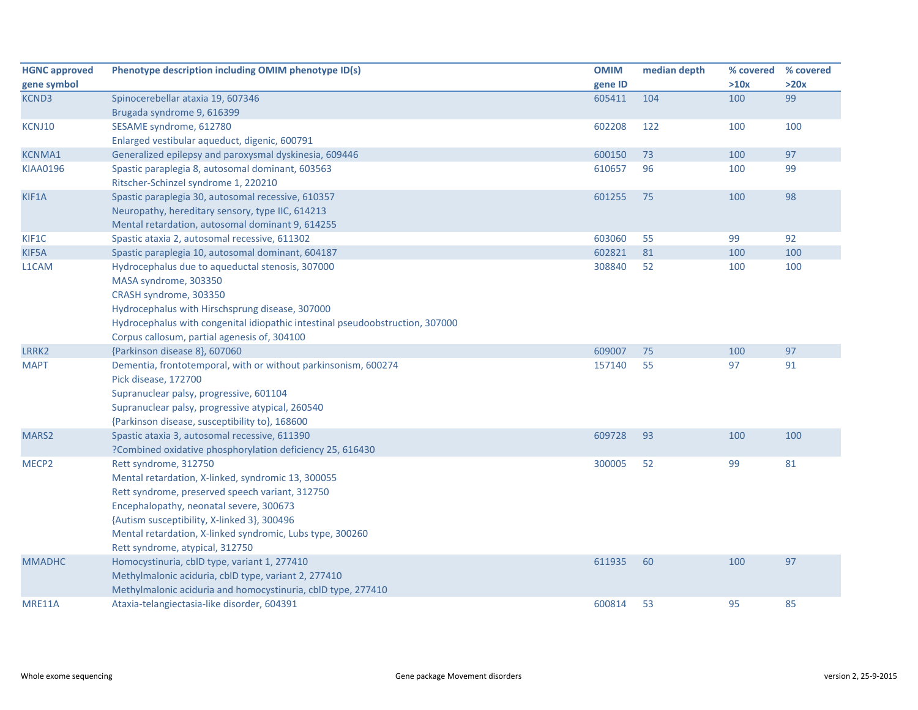| <b>HGNC approved</b> | Phenotype description including OMIM phenotype ID(s)                          | <b>OMIM</b> | median depth | % covered % covered |      |
|----------------------|-------------------------------------------------------------------------------|-------------|--------------|---------------------|------|
| gene symbol          |                                                                               | gene ID     |              | >10x                | >20x |
| <b>KCND3</b>         | Spinocerebellar ataxia 19, 607346                                             | 605411      | 104          | 100                 | 99   |
|                      | Brugada syndrome 9, 616399                                                    |             |              |                     |      |
| KCNJ10               | SESAME syndrome, 612780                                                       | 602208      | 122          | 100                 | 100  |
|                      | Enlarged vestibular aqueduct, digenic, 600791                                 |             |              |                     |      |
| <b>KCNMA1</b>        | Generalized epilepsy and paroxysmal dyskinesia, 609446                        | 600150      | 73           | 100                 | 97   |
| <b>KIAA0196</b>      | Spastic paraplegia 8, autosomal dominant, 603563                              | 610657      | 96           | 100                 | 99   |
|                      | Ritscher-Schinzel syndrome 1, 220210                                          |             |              |                     |      |
| KIF1A                | Spastic paraplegia 30, autosomal recessive, 610357                            | 601255      | 75           | 100                 | 98   |
|                      | Neuropathy, hereditary sensory, type IIC, 614213                              |             |              |                     |      |
|                      | Mental retardation, autosomal dominant 9, 614255                              |             |              |                     |      |
| KIF1C                | Spastic ataxia 2, autosomal recessive, 611302                                 | 603060      | 55           | 99                  | 92   |
| KIF5A                | Spastic paraplegia 10, autosomal dominant, 604187                             | 602821      | 81           | 100                 | 100  |
| L1CAM                | Hydrocephalus due to aqueductal stenosis, 307000                              | 308840      | 52           | 100                 | 100  |
|                      | MASA syndrome, 303350                                                         |             |              |                     |      |
|                      | CRASH syndrome, 303350                                                        |             |              |                     |      |
|                      | Hydrocephalus with Hirschsprung disease, 307000                               |             |              |                     |      |
|                      | Hydrocephalus with congenital idiopathic intestinal pseudoobstruction, 307000 |             |              |                     |      |
|                      | Corpus callosum, partial agenesis of, 304100                                  |             |              |                     |      |
| LRRK2                | {Parkinson disease 8}, 607060                                                 | 609007      | 75           | 100                 | 97   |
| <b>MAPT</b>          | Dementia, frontotemporal, with or without parkinsonism, 600274                | 157140      | 55           | 97                  | 91   |
|                      | Pick disease, 172700                                                          |             |              |                     |      |
|                      | Supranuclear palsy, progressive, 601104                                       |             |              |                     |      |
|                      | Supranuclear palsy, progressive atypical, 260540                              |             |              |                     |      |
|                      | {Parkinson disease, susceptibility to}, 168600                                |             |              |                     |      |
| MARS2                | Spastic ataxia 3, autosomal recessive, 611390                                 | 609728      | 93           | 100                 | 100  |
|                      | ?Combined oxidative phosphorylation deficiency 25, 616430                     |             |              |                     |      |
| MECP <sub>2</sub>    | Rett syndrome, 312750                                                         | 300005      | 52           | 99                  | 81   |
|                      | Mental retardation, X-linked, syndromic 13, 300055                            |             |              |                     |      |
|                      | Rett syndrome, preserved speech variant, 312750                               |             |              |                     |      |
|                      | Encephalopathy, neonatal severe, 300673                                       |             |              |                     |      |
|                      | {Autism susceptibility, X-linked 3}, 300496                                   |             |              |                     |      |
|                      | Mental retardation, X-linked syndromic, Lubs type, 300260                     |             |              |                     |      |
|                      | Rett syndrome, atypical, 312750                                               |             |              |                     |      |
| <b>MMADHC</b>        | Homocystinuria, cblD type, variant 1, 277410                                  | 611935      | 60           | 100                 | 97   |
|                      | Methylmalonic aciduria, cblD type, variant 2, 277410                          |             |              |                     |      |
|                      | Methylmalonic aciduria and homocystinuria, cblD type, 277410                  |             |              |                     |      |
| MRE11A               | Ataxia-telangiectasia-like disorder, 604391                                   | 600814      | 53           | 95                  | 85   |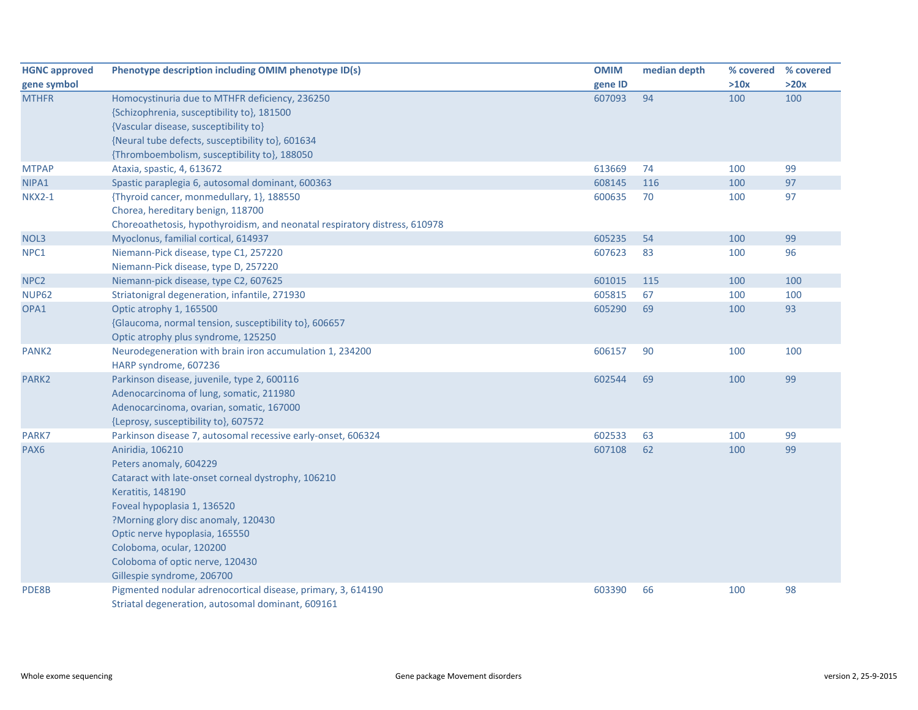| <b>HGNC approved</b> | Phenotype description including OMIM phenotype ID(s)                       | <b>OMIM</b> | median depth | % covered | % covered |
|----------------------|----------------------------------------------------------------------------|-------------|--------------|-----------|-----------|
| gene symbol          |                                                                            | gene ID     |              | >10x      | >20x      |
| <b>MTHFR</b>         | Homocystinuria due to MTHFR deficiency, 236250                             | 607093      | 94           | 100       | 100       |
|                      | {Schizophrenia, susceptibility to}, 181500                                 |             |              |           |           |
|                      | {Vascular disease, susceptibility to}                                      |             |              |           |           |
|                      | {Neural tube defects, susceptibility to}, 601634                           |             |              |           |           |
|                      | {Thromboembolism, susceptibility to}, 188050                               |             |              |           |           |
| <b>MTPAP</b>         | Ataxia, spastic, 4, 613672                                                 | 613669      | 74           | 100       | 99        |
| NIPA1                | Spastic paraplegia 6, autosomal dominant, 600363                           | 608145      | 116          | 100       | 97        |
| <b>NKX2-1</b>        | {Thyroid cancer, monmedullary, 1}, 188550                                  | 600635      | 70           | 100       | 97        |
|                      | Chorea, hereditary benign, 118700                                          |             |              |           |           |
|                      | Choreoathetosis, hypothyroidism, and neonatal respiratory distress, 610978 |             |              |           |           |
| NOL3                 | Myoclonus, familial cortical, 614937                                       | 605235      | 54           | 100       | 99        |
| NPC1                 | Niemann-Pick disease, type C1, 257220                                      | 607623      | 83           | 100       | 96        |
|                      | Niemann-Pick disease, type D, 257220                                       |             |              |           |           |
| NPC <sub>2</sub>     | Niemann-pick disease, type C2, 607625                                      | 601015      | 115          | 100       | 100       |
| <b>NUP62</b>         | Striatonigral degeneration, infantile, 271930                              | 605815      | 67           | 100       | 100       |
| OPA1                 | Optic atrophy 1, 165500                                                    | 605290      | 69           | 100       | 93        |
|                      | {Glaucoma, normal tension, susceptibility to}, 606657                      |             |              |           |           |
|                      | Optic atrophy plus syndrome, 125250                                        |             |              |           |           |
| PANK <sub>2</sub>    | Neurodegeneration with brain iron accumulation 1, 234200                   | 606157      | 90           | 100       | 100       |
|                      | HARP syndrome, 607236                                                      |             |              |           |           |
| PARK2                | Parkinson disease, juvenile, type 2, 600116                                | 602544      | 69           | 100       | 99        |
|                      | Adenocarcinoma of lung, somatic, 211980                                    |             |              |           |           |
|                      | Adenocarcinoma, ovarian, somatic, 167000                                   |             |              |           |           |
|                      | {Leprosy, susceptibility to}, 607572                                       |             |              |           |           |
| PARK7                | Parkinson disease 7, autosomal recessive early-onset, 606324               | 602533      | 63           | 100       | 99        |
| PAX6                 | Aniridia, 106210                                                           | 607108      | 62           | 100       | 99        |
|                      | Peters anomaly, 604229                                                     |             |              |           |           |
|                      | Cataract with late-onset corneal dystrophy, 106210                         |             |              |           |           |
|                      | Keratitis, 148190                                                          |             |              |           |           |
|                      | Foveal hypoplasia 1, 136520                                                |             |              |           |           |
|                      | ?Morning glory disc anomaly, 120430                                        |             |              |           |           |
|                      | Optic nerve hypoplasia, 165550                                             |             |              |           |           |
|                      | Coloboma, ocular, 120200                                                   |             |              |           |           |
|                      | Coloboma of optic nerve, 120430                                            |             |              |           |           |
|                      | Gillespie syndrome, 206700                                                 |             |              |           |           |
| PDE8B                | Pigmented nodular adrenocortical disease, primary, 3, 614190               | 603390      | 66           | 100       | 98        |
|                      | Striatal degeneration, autosomal dominant, 609161                          |             |              |           |           |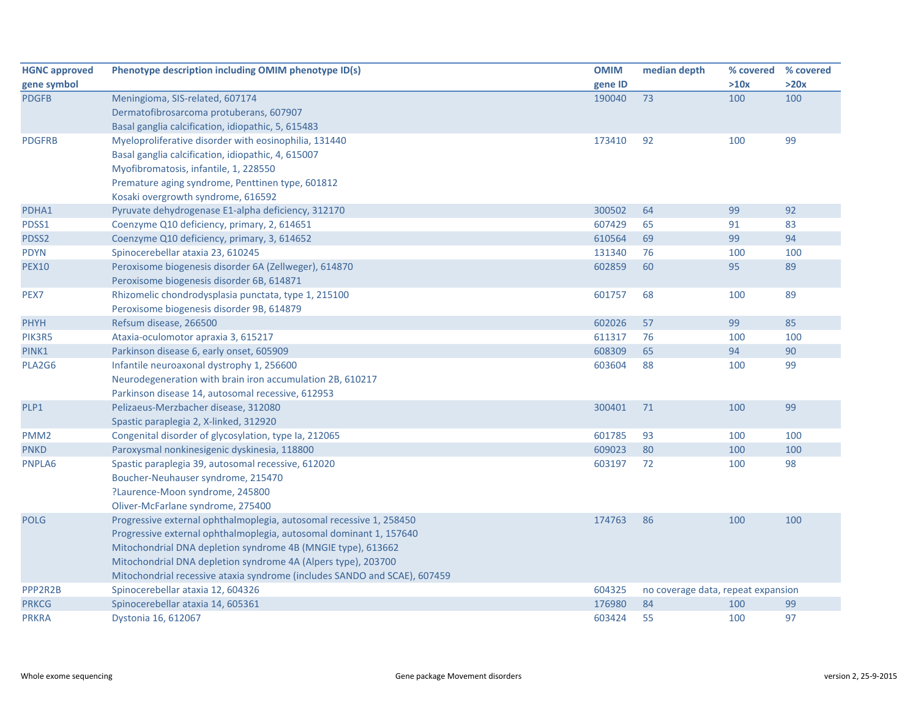| <b>HGNC approved</b> | Phenotype description including OMIM phenotype ID(s)                      | <b>OMIM</b> | median depth                       | % covered % covered |      |
|----------------------|---------------------------------------------------------------------------|-------------|------------------------------------|---------------------|------|
| gene symbol          |                                                                           | gene ID     |                                    | >10x                | >20x |
| <b>PDGFB</b>         | Meningioma, SIS-related, 607174                                           | 190040      | 73                                 | 100                 | 100  |
|                      | Dermatofibrosarcoma protuberans, 607907                                   |             |                                    |                     |      |
|                      | Basal ganglia calcification, idiopathic, 5, 615483                        |             |                                    |                     |      |
| <b>PDGFRB</b>        | Myeloproliferative disorder with eosinophilia, 131440                     | 173410      | 92                                 | 100                 | 99   |
|                      | Basal ganglia calcification, idiopathic, 4, 615007                        |             |                                    |                     |      |
|                      | Myofibromatosis, infantile, 1, 228550                                     |             |                                    |                     |      |
|                      | Premature aging syndrome, Penttinen type, 601812                          |             |                                    |                     |      |
|                      | Kosaki overgrowth syndrome, 616592                                        |             |                                    |                     |      |
| PDHA1                | Pyruvate dehydrogenase E1-alpha deficiency, 312170                        | 300502      | 64                                 | 99                  | 92   |
| PDSS1                | Coenzyme Q10 deficiency, primary, 2, 614651                               | 607429      | 65                                 | 91                  | 83   |
| PDSS2                | Coenzyme Q10 deficiency, primary, 3, 614652                               | 610564      | 69                                 | 99                  | 94   |
| <b>PDYN</b>          | Spinocerebellar ataxia 23, 610245                                         | 131340      | 76                                 | 100                 | 100  |
| <b>PEX10</b>         | Peroxisome biogenesis disorder 6A (Zellweger), 614870                     | 602859      | 60                                 | 95                  | 89   |
|                      | Peroxisome biogenesis disorder 6B, 614871                                 |             |                                    |                     |      |
| PEX7                 | Rhizomelic chondrodysplasia punctata, type 1, 215100                      | 601757      | 68                                 | 100                 | 89   |
|                      | Peroxisome biogenesis disorder 9B, 614879                                 |             |                                    |                     |      |
| <b>PHYH</b>          | Refsum disease, 266500                                                    | 602026      | 57                                 | 99                  | 85   |
| PIK3R5               | Ataxia-oculomotor apraxia 3, 615217                                       | 611317      | 76                                 | 100                 | 100  |
| PINK1                | Parkinson disease 6, early onset, 605909                                  | 608309      | 65                                 | 94                  | 90   |
| PLA2G6               | Infantile neuroaxonal dystrophy 1, 256600                                 | 603604      | 88                                 | 100                 | 99   |
|                      | Neurodegeneration with brain iron accumulation 2B, 610217                 |             |                                    |                     |      |
|                      | Parkinson disease 14, autosomal recessive, 612953                         |             |                                    |                     |      |
| PLP1                 | Pelizaeus-Merzbacher disease, 312080                                      | 300401      | 71                                 | 100                 | 99   |
|                      | Spastic paraplegia 2, X-linked, 312920                                    |             |                                    |                     |      |
| PMM <sub>2</sub>     | Congenital disorder of glycosylation, type Ia, 212065                     | 601785      | 93                                 | 100                 | 100  |
| <b>PNKD</b>          | Paroxysmal nonkinesigenic dyskinesia, 118800                              | 609023      | 80                                 | 100                 | 100  |
| PNPLA6               | Spastic paraplegia 39, autosomal recessive, 612020                        | 603197      | 72                                 | 100                 | 98   |
|                      | Boucher-Neuhauser syndrome, 215470                                        |             |                                    |                     |      |
|                      | ?Laurence-Moon syndrome, 245800                                           |             |                                    |                     |      |
|                      | Oliver-McFarlane syndrome, 275400                                         |             |                                    |                     |      |
| <b>POLG</b>          | Progressive external ophthalmoplegia, autosomal recessive 1, 258450       | 174763      | 86                                 | 100                 | 100  |
|                      | Progressive external ophthalmoplegia, autosomal dominant 1, 157640        |             |                                    |                     |      |
|                      | Mitochondrial DNA depletion syndrome 4B (MNGIE type), 613662              |             |                                    |                     |      |
|                      | Mitochondrial DNA depletion syndrome 4A (Alpers type), 203700             |             |                                    |                     |      |
|                      | Mitochondrial recessive ataxia syndrome (includes SANDO and SCAE), 607459 |             |                                    |                     |      |
| PPP2R2B              | Spinocerebellar ataxia 12, 604326                                         | 604325      | no coverage data, repeat expansion |                     |      |
| <b>PRKCG</b>         | Spinocerebellar ataxia 14, 605361                                         | 176980      | 84                                 | 100                 | 99   |
| <b>PRKRA</b>         | Dystonia 16, 612067                                                       | 603424      | 55                                 | 100                 | 97   |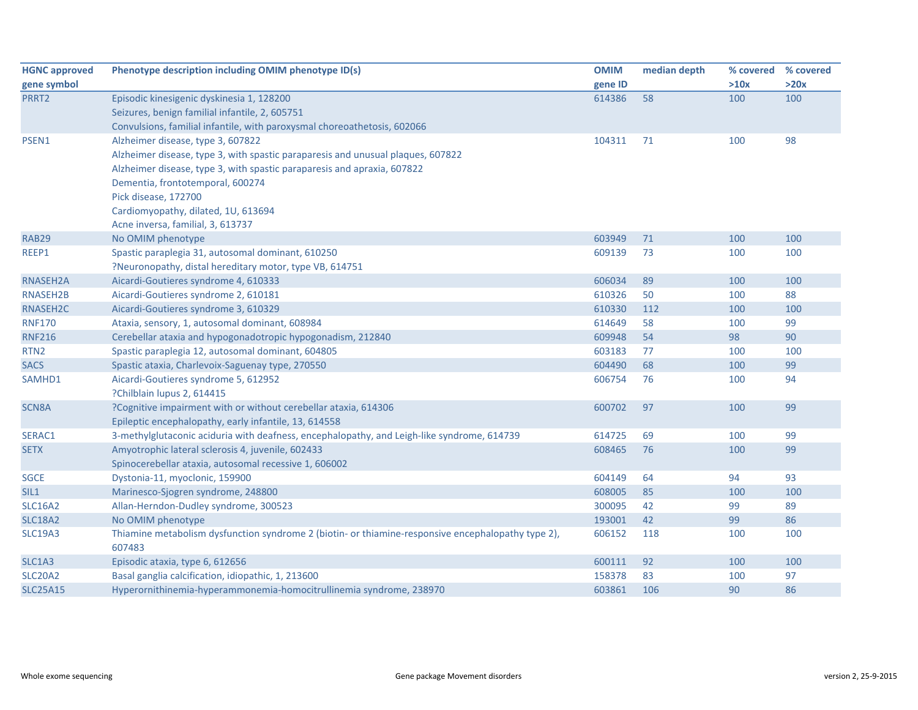| <b>HGNC approved</b> | Phenotype description including OMIM phenotype ID(s)                                                         | <b>OMIM</b> | median depth | % covered | % covered |
|----------------------|--------------------------------------------------------------------------------------------------------------|-------------|--------------|-----------|-----------|
| gene symbol          |                                                                                                              | gene ID     |              | >10x      | >20x      |
| PRRT2                | Episodic kinesigenic dyskinesia 1, 128200                                                                    | 614386      | 58           | 100       | 100       |
|                      | Seizures, benign familial infantile, 2, 605751                                                               |             |              |           |           |
|                      | Convulsions, familial infantile, with paroxysmal choreoathetosis, 602066                                     |             |              |           |           |
| PSEN1                | Alzheimer disease, type 3, 607822                                                                            | 104311      | 71           | 100       | 98        |
|                      | Alzheimer disease, type 3, with spastic paraparesis and unusual plaques, 607822                              |             |              |           |           |
|                      | Alzheimer disease, type 3, with spastic paraparesis and apraxia, 607822                                      |             |              |           |           |
|                      | Dementia, frontotemporal, 600274                                                                             |             |              |           |           |
|                      | Pick disease, 172700                                                                                         |             |              |           |           |
|                      | Cardiomyopathy, dilated, 1U, 613694                                                                          |             |              |           |           |
|                      | Acne inversa, familial, 3, 613737                                                                            |             |              |           |           |
| <b>RAB29</b>         | No OMIM phenotype                                                                                            | 603949      | 71           | 100       | 100       |
| REEP1                | Spastic paraplegia 31, autosomal dominant, 610250                                                            | 609139      | 73           | 100       | 100       |
|                      | ?Neuronopathy, distal hereditary motor, type VB, 614751                                                      |             |              |           |           |
| RNASEH2A             | Aicardi-Goutieres syndrome 4, 610333                                                                         | 606034      | 89           | 100       | 100       |
| RNASEH2B             | Aicardi-Goutieres syndrome 2, 610181                                                                         | 610326      | 50           | 100       | 88        |
| RNASEH2C             | Aicardi-Goutieres syndrome 3, 610329                                                                         | 610330      | 112          | 100       | 100       |
| <b>RNF170</b>        | Ataxia, sensory, 1, autosomal dominant, 608984                                                               | 614649      | 58           | 100       | 99        |
| <b>RNF216</b>        | Cerebellar ataxia and hypogonadotropic hypogonadism, 212840                                                  | 609948      | 54           | 98        | 90        |
| RTN <sub>2</sub>     | Spastic paraplegia 12, autosomal dominant, 604805                                                            | 603183      | 77           | 100       | 100       |
| <b>SACS</b>          | Spastic ataxia, Charlevoix-Saguenay type, 270550                                                             | 604490      | 68           | 100       | 99        |
| SAMHD1               | Aicardi-Goutieres syndrome 5, 612952                                                                         | 606754      | 76           | 100       | 94        |
|                      | ?Chilblain lupus 2, 614415                                                                                   |             |              |           |           |
| SCN8A                | ?Cognitive impairment with or without cerebellar ataxia, 614306                                              | 600702      | 97           | 100       | 99        |
|                      | Epileptic encephalopathy, early infantile, 13, 614558                                                        |             |              |           |           |
| SERAC1               | 3-methylglutaconic aciduria with deafness, encephalopathy, and Leigh-like syndrome, 614739                   | 614725      | 69           | 100       | 99        |
| <b>SETX</b>          | Amyotrophic lateral sclerosis 4, juvenile, 602433                                                            | 608465      | 76           | 100       | 99        |
|                      | Spinocerebellar ataxia, autosomal recessive 1, 606002                                                        |             |              |           |           |
| <b>SGCE</b>          | Dystonia-11, myoclonic, 159900                                                                               | 604149      | 64           | 94        | 93        |
| SIL1                 | Marinesco-Sjogren syndrome, 248800                                                                           | 608005      | 85           | 100       | 100       |
| <b>SLC16A2</b>       | Allan-Herndon-Dudley syndrome, 300523                                                                        | 300095      | 42           | 99        | 89        |
| <b>SLC18A2</b>       | No OMIM phenotype                                                                                            | 193001      | 42           | 99        | 86        |
| <b>SLC19A3</b>       | Thiamine metabolism dysfunction syndrome 2 (biotin- or thiamine-responsive encephalopathy type 2),<br>607483 | 606152      | 118          | 100       | 100       |
| SLC1A3               | Episodic ataxia, type 6, 612656                                                                              | 600111      | 92           | 100       | 100       |
| SLC20A2              | Basal ganglia calcification, idiopathic, 1, 213600                                                           | 158378      | 83           | 100       | 97        |
| <b>SLC25A15</b>      | Hyperornithinemia-hyperammonemia-homocitrullinemia syndrome, 238970                                          | 603861      | 106          | 90        | 86        |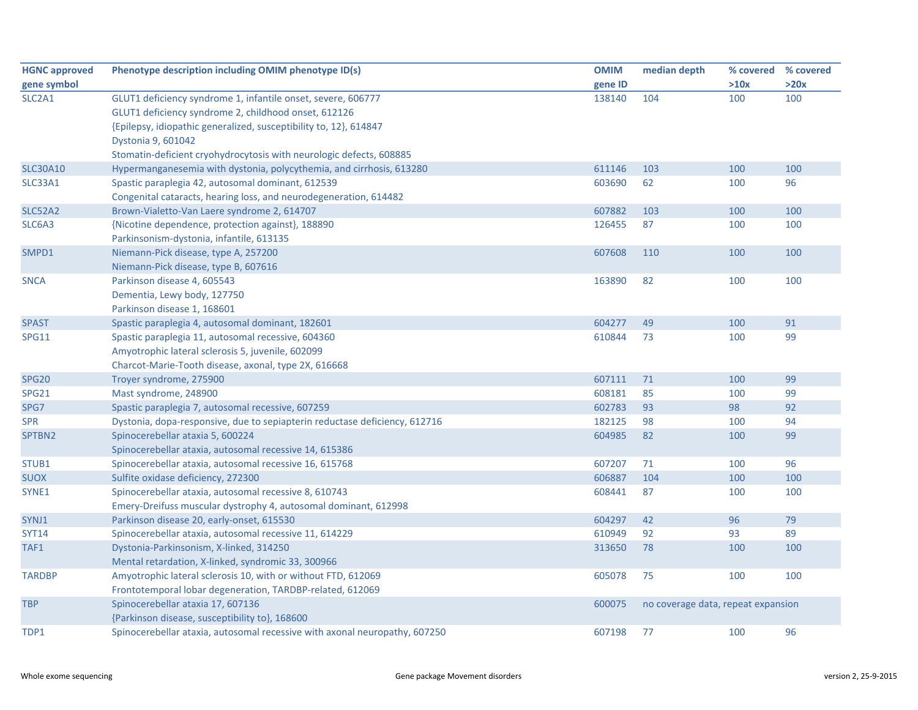| <b>HGNC approved</b>            | Phenotype description including OMIM phenotype ID(s)                       | <b>OMIM</b> | median depth                       | % covered % covered |      |
|---------------------------------|----------------------------------------------------------------------------|-------------|------------------------------------|---------------------|------|
| gene symbol                     |                                                                            | gene ID     |                                    | >10x                | >20x |
| SLC <sub>2</sub> A <sub>1</sub> | GLUT1 deficiency syndrome 1, infantile onset, severe, 606777               | 138140      | 104                                | 100                 | 100  |
|                                 | GLUT1 deficiency syndrome 2, childhood onset, 612126                       |             |                                    |                     |      |
|                                 | {Epilepsy, idiopathic generalized, susceptibility to, 12}, 614847          |             |                                    |                     |      |
|                                 | Dystonia 9, 601042                                                         |             |                                    |                     |      |
|                                 | Stomatin-deficient cryohydrocytosis with neurologic defects, 608885        |             |                                    |                     |      |
| <b>SLC30A10</b>                 | Hypermanganesemia with dystonia, polycythemia, and cirrhosis, 613280       | 611146      | 103                                | 100                 | 100  |
| <b>SLC33A1</b>                  | Spastic paraplegia 42, autosomal dominant, 612539                          | 603690      | 62                                 | 100                 | 96   |
|                                 | Congenital cataracts, hearing loss, and neurodegeneration, 614482          |             |                                    |                     |      |
| <b>SLC52A2</b>                  | Brown-Vialetto-Van Laere syndrome 2, 614707                                | 607882      | 103                                | 100                 | 100  |
| SLC6A3                          | {Nicotine dependence, protection against}, 188890                          | 126455      | 87                                 | 100                 | 100  |
|                                 | Parkinsonism-dystonia, infantile, 613135                                   |             |                                    |                     |      |
| SMPD1                           | Niemann-Pick disease, type A, 257200                                       | 607608      | 110                                | 100                 | 100  |
|                                 | Niemann-Pick disease, type B, 607616                                       |             |                                    |                     |      |
| <b>SNCA</b>                     | Parkinson disease 4, 605543                                                | 163890      | 82                                 | 100                 | 100  |
|                                 | Dementia, Lewy body, 127750                                                |             |                                    |                     |      |
|                                 | Parkinson disease 1, 168601                                                |             |                                    |                     |      |
| <b>SPAST</b>                    | Spastic paraplegia 4, autosomal dominant, 182601                           | 604277      | 49                                 | 100                 | 91   |
| SPG11                           | Spastic paraplegia 11, autosomal recessive, 604360                         | 610844      | 73                                 | 100                 | 99   |
|                                 | Amyotrophic lateral sclerosis 5, juvenile, 602099                          |             |                                    |                     |      |
|                                 | Charcot-Marie-Tooth disease, axonal, type 2X, 616668                       |             |                                    |                     |      |
| <b>SPG20</b>                    | Troyer syndrome, 275900                                                    | 607111      | 71                                 | 100                 | 99   |
| <b>SPG21</b>                    | Mast syndrome, 248900                                                      | 608181      | 85                                 | 100                 | 99   |
| SPG7                            | Spastic paraplegia 7, autosomal recessive, 607259                          | 602783      | 93                                 | 98                  | 92   |
| <b>SPR</b>                      | Dystonia, dopa-responsive, due to sepiapterin reductase deficiency, 612716 | 182125      | 98                                 | 100                 | 94   |
| SPTBN2                          | Spinocerebellar ataxia 5, 600224                                           | 604985      | 82                                 | 100                 | 99   |
|                                 | Spinocerebellar ataxia, autosomal recessive 14, 615386                     |             |                                    |                     |      |
| STUB1                           | Spinocerebellar ataxia, autosomal recessive 16, 615768                     | 607207      | 71                                 | 100                 | 96   |
| <b>SUOX</b>                     | Sulfite oxidase deficiency, 272300                                         | 606887      | 104                                | 100                 | 100  |
| SYNE1                           | Spinocerebellar ataxia, autosomal recessive 8, 610743                      | 608441      | 87                                 | 100                 | 100  |
|                                 | Emery-Dreifuss muscular dystrophy 4, autosomal dominant, 612998            |             |                                    |                     |      |
| SYNJ1                           | Parkinson disease 20, early-onset, 615530                                  | 604297      | 42                                 | 96                  | 79   |
| <b>SYT14</b>                    | Spinocerebellar ataxia, autosomal recessive 11, 614229                     | 610949      | 92                                 | 93                  | 89   |
| TAF1                            | Dystonia-Parkinsonism, X-linked, 314250                                    | 313650      | 78                                 | 100                 | 100  |
|                                 | Mental retardation, X-linked, syndromic 33, 300966                         |             |                                    |                     |      |
| <b>TARDBP</b>                   | Amyotrophic lateral sclerosis 10, with or without FTD, 612069              | 605078      | 75                                 | 100                 | 100  |
|                                 | Frontotemporal lobar degeneration, TARDBP-related, 612069                  |             |                                    |                     |      |
| <b>TBP</b>                      | Spinocerebellar ataxia 17, 607136                                          | 600075      | no coverage data, repeat expansion |                     |      |
|                                 | {Parkinson disease, susceptibility to}, 168600                             |             |                                    |                     |      |
| TDP1                            | Spinocerebellar ataxia, autosomal recessive with axonal neuropathy, 607250 | 607198      | 77                                 | 100                 | 96   |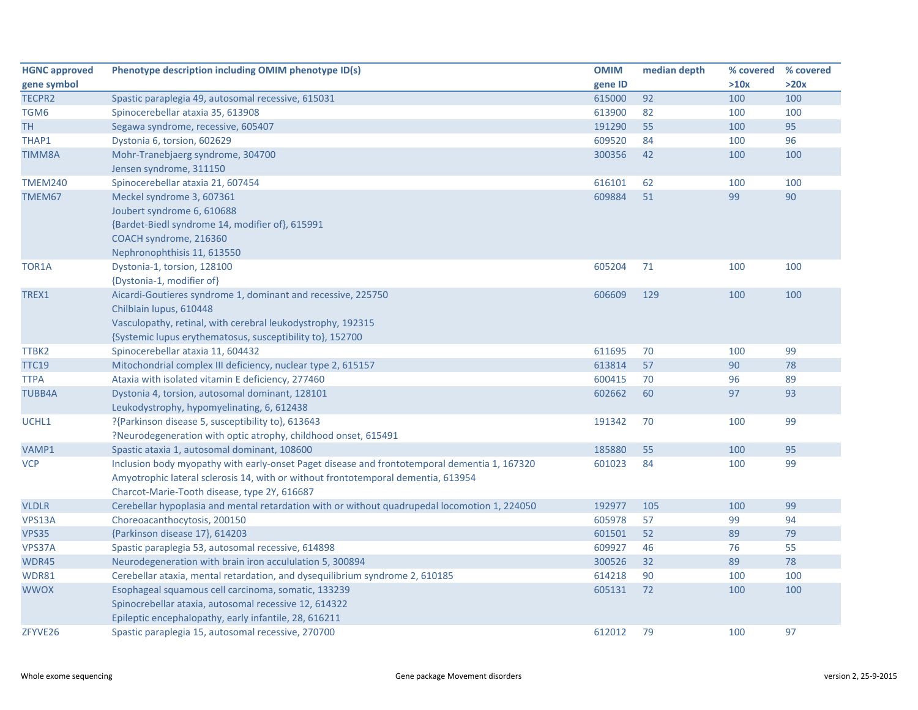| <b>HGNC approved</b> | Phenotype description including OMIM phenotype ID(s)                                          | <b>OMIM</b> | median depth | % covered | % covered |
|----------------------|-----------------------------------------------------------------------------------------------|-------------|--------------|-----------|-----------|
| gene symbol          |                                                                                               | gene ID     |              | >10x      | >20x      |
| <b>TECPR2</b>        | Spastic paraplegia 49, autosomal recessive, 615031                                            | 615000      | 92           | 100       | 100       |
| TGM6                 | Spinocerebellar ataxia 35, 613908                                                             | 613900      | 82           | 100       | 100       |
| <b>TH</b>            | Segawa syndrome, recessive, 605407                                                            | 191290      | 55           | 100       | 95        |
| THAP1                | Dystonia 6, torsion, 602629                                                                   | 609520      | 84           | 100       | 96        |
| <b>TIMM8A</b>        | Mohr-Tranebjaerg syndrome, 304700                                                             | 300356      | 42           | 100       | 100       |
|                      | Jensen syndrome, 311150                                                                       |             |              |           |           |
| <b>TMEM240</b>       | Spinocerebellar ataxia 21, 607454                                                             | 616101      | 62           | 100       | 100       |
| TMEM67               | Meckel syndrome 3, 607361                                                                     | 609884      | 51           | 99        | 90        |
|                      | Joubert syndrome 6, 610688                                                                    |             |              |           |           |
|                      | {Bardet-Biedl syndrome 14, modifier of}, 615991                                               |             |              |           |           |
|                      | COACH syndrome, 216360                                                                        |             |              |           |           |
|                      | Nephronophthisis 11, 613550                                                                   |             |              |           |           |
| TOR1A                | Dystonia-1, torsion, 128100                                                                   | 605204      | 71           | 100       | 100       |
|                      | {Dystonia-1, modifier of}                                                                     |             |              |           |           |
| TREX1                | Aicardi-Goutieres syndrome 1, dominant and recessive, 225750                                  | 606609      | 129          | 100       | 100       |
|                      | Chilblain lupus, 610448                                                                       |             |              |           |           |
|                      | Vasculopathy, retinal, with cerebral leukodystrophy, 192315                                   |             |              |           |           |
|                      | {Systemic lupus erythematosus, susceptibility to}, 152700                                     |             |              |           |           |
| TTBK2                | Spinocerebellar ataxia 11, 604432                                                             | 611695      | 70           | 100       | 99        |
| <b>TTC19</b>         | Mitochondrial complex III deficiency, nuclear type 2, 615157                                  | 613814      | 57           | 90        | 78        |
| <b>TTPA</b>          | Ataxia with isolated vitamin E deficiency, 277460                                             | 600415      | 70           | 96        | 89        |
| <b>TUBB4A</b>        | Dystonia 4, torsion, autosomal dominant, 128101                                               | 602662      | 60           | 97        | 93        |
|                      | Leukodystrophy, hypomyelinating, 6, 612438                                                    |             |              |           |           |
| UCHL1                | ?{Parkinson disease 5, susceptibility to}, 613643                                             | 191342      | 70           | 100       | 99        |
|                      | ?Neurodegeneration with optic atrophy, childhood onset, 615491                                |             |              |           |           |
| VAMP1                | Spastic ataxia 1, autosomal dominant, 108600                                                  | 185880      | 55           | 100       | 95        |
| <b>VCP</b>           | Inclusion body myopathy with early-onset Paget disease and frontotemporal dementia 1, 167320  | 601023      | 84           | 100       | 99        |
|                      | Amyotrophic lateral sclerosis 14, with or without frontotemporal dementia, 613954             |             |              |           |           |
|                      | Charcot-Marie-Tooth disease, type 2Y, 616687                                                  |             |              |           |           |
| <b>VLDLR</b>         | Cerebellar hypoplasia and mental retardation with or without quadrupedal locomotion 1, 224050 | 192977      | 105          | 100       | 99        |
| VPS13A               | Choreoacanthocytosis, 200150                                                                  | 605978      | 57           | 99        | 94        |
| <b>VPS35</b>         | {Parkinson disease 17}, 614203                                                                | 601501      | 52           | 89        | 79        |
| VPS37A               | Spastic paraplegia 53, autosomal recessive, 614898                                            | 609927      | 46           | 76        | 55        |
| WDR45                | Neurodegeneration with brain iron accululation 5, 300894                                      | 300526      | 32           | 89        | 78        |
| WDR81                | Cerebellar ataxia, mental retardation, and dysequilibrium syndrome 2, 610185                  | 614218      | 90           | 100       | 100       |
| <b>WWOX</b>          | Esophageal squamous cell carcinoma, somatic, 133239                                           | 605131      | 72           | 100       | 100       |
|                      | Spinocrebellar ataxia, autosomal recessive 12, 614322                                         |             |              |           |           |
|                      | Epileptic encephalopathy, early infantile, 28, 616211                                         |             |              |           |           |
| ZFYVE26              | Spastic paraplegia 15, autosomal recessive, 270700                                            | 612012      | 79           | 100       | 97        |